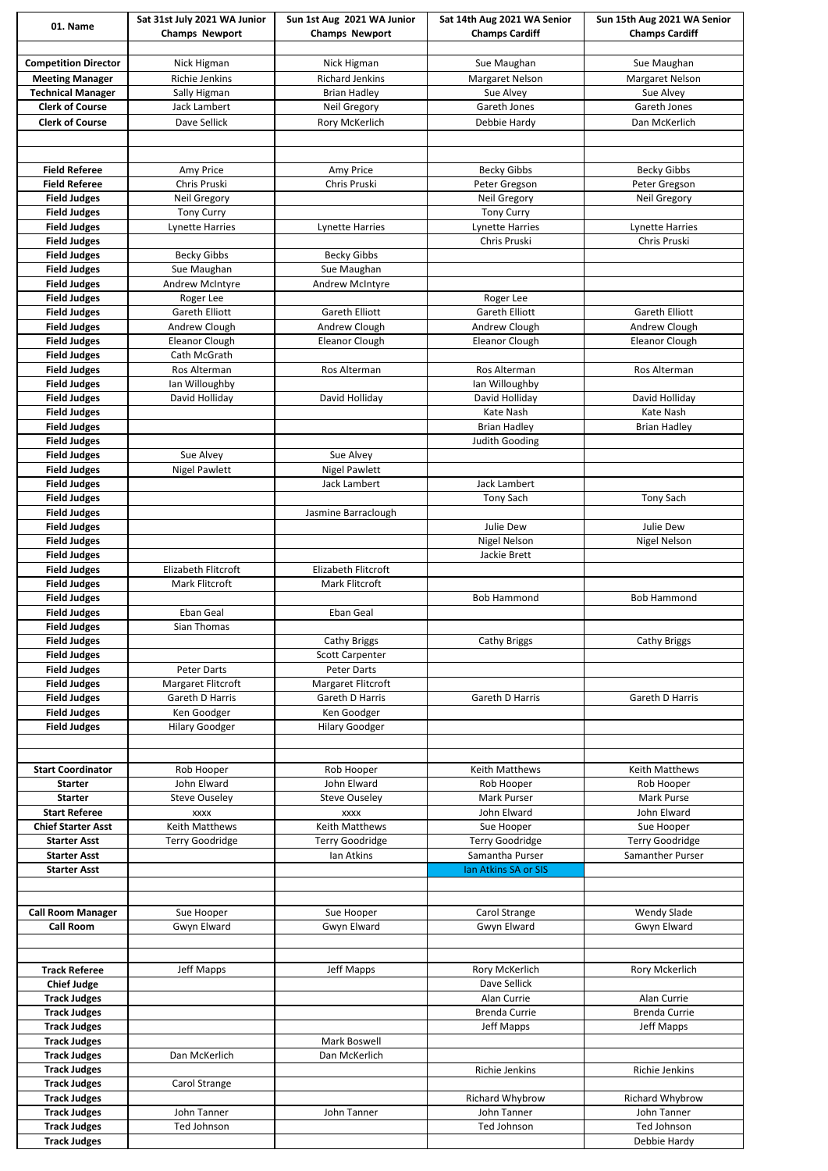| 01. Name                                   | Sat 31st July 2021 WA Junior           | Sun 1st Aug 2021 WA Junior             | Sat 14th Aug 2021 WA Senior  | Sun 15th Aug 2021 WA Senior            |
|--------------------------------------------|----------------------------------------|----------------------------------------|------------------------------|----------------------------------------|
|                                            | <b>Champs Newport</b>                  | <b>Champs Newport</b>                  | <b>Champs Cardiff</b>        | <b>Champs Cardiff</b>                  |
|                                            |                                        |                                        |                              |                                        |
| <b>Competition Director</b>                | Nick Higman                            | Nick Higman                            | Sue Maughan                  | Sue Maughan                            |
| <b>Meeting Manager</b>                     | Richie Jenkins                         | <b>Richard Jenkins</b>                 | Margaret Nelson              | <b>Margaret Nelson</b>                 |
| <b>Technical Manager</b>                   | Sally Higman                           | <b>Brian Hadley</b>                    | Sue Alvey                    | Sue Alvey                              |
| <b>Clerk of Course</b>                     | Jack Lambert                           | <b>Neil Gregory</b>                    | Gareth Jones                 | Gareth Jones                           |
| <b>Clerk of Course</b>                     | Dave Sellick                           | Rory McKerlich                         | Debbie Hardy                 | Dan McKerlich                          |
|                                            |                                        |                                        |                              |                                        |
|                                            |                                        |                                        |                              |                                        |
| <b>Field Referee</b>                       | Amy Price                              | Amy Price                              | <b>Becky Gibbs</b>           | <b>Becky Gibbs</b>                     |
| <b>Field Referee</b>                       | Chris Pruski                           | Chris Pruski                           | Peter Gregson                | Peter Gregson                          |
| <b>Field Judges</b>                        | <b>Neil Gregory</b>                    |                                        | <b>Neil Gregory</b>          | Neil Gregory                           |
| <b>Field Judges</b>                        | <b>Tony Curry</b>                      |                                        | <b>Tony Curry</b>            |                                        |
| <b>Field Judges</b>                        | Lynette Harries                        | Lynette Harries                        | Lynette Harries              | <b>Lynette Harries</b>                 |
| <b>Field Judges</b>                        |                                        |                                        | Chris Pruski                 | Chris Pruski                           |
| <b>Field Judges</b>                        | <b>Becky Gibbs</b>                     | <b>Becky Gibbs</b>                     |                              |                                        |
| <b>Field Judges</b>                        | Sue Maughan                            | Sue Maughan                            |                              |                                        |
| <b>Field Judges</b>                        | Andrew McIntyre                        | <b>Andrew McIntyre</b>                 |                              |                                        |
| <b>Field Judges</b>                        | Roger Lee                              |                                        | Roger Lee                    |                                        |
| <b>Field Judges</b>                        | Gareth Elliott                         | <b>Gareth Elliott</b>                  | <b>Gareth Elliott</b>        | <b>Gareth Elliott</b>                  |
| <b>Field Judges</b>                        | Andrew Clough<br><b>Eleanor Clough</b> | Andrew Clough<br><b>Eleanor Clough</b> | Andrew Clough                | Andrew Clough<br><b>Eleanor Clough</b> |
| <b>Field Judges</b><br><b>Field Judges</b> | Cath McGrath                           |                                        | <b>Eleanor Clough</b>        |                                        |
| <b>Field Judges</b>                        | Ros Alterman                           | Ros Alterman                           | Ros Alterman                 | Ros Alterman                           |
| <b>Field Judges</b>                        | lan Willoughby                         |                                        | lan Willoughby               |                                        |
| <b>Field Judges</b>                        | David Holliday                         | David Holliday                         | David Holliday               | David Holliday                         |
| <b>Field Judges</b>                        |                                        |                                        | Kate Nash                    | Kate Nash                              |
| <b>Field Judges</b>                        |                                        |                                        | <b>Brian Hadley</b>          | <b>Brian Hadley</b>                    |
| <b>Field Judges</b>                        |                                        |                                        | <b>Judith Gooding</b>        |                                        |
| <b>Field Judges</b>                        | Sue Alvey                              | Sue Alvey                              |                              |                                        |
| <b>Field Judges</b>                        | <b>Nigel Pawlett</b>                   | <b>Nigel Pawlett</b>                   |                              |                                        |
| <b>Field Judges</b>                        |                                        | Jack Lambert                           | Jack Lambert                 |                                        |
| <b>Field Judges</b>                        |                                        |                                        | <b>Tony Sach</b>             | <b>Tony Sach</b>                       |
| <b>Field Judges</b>                        |                                        | Jasmine Barraclough                    |                              |                                        |
| <b>Field Judges</b>                        |                                        |                                        | Julie Dew                    | Julie Dew                              |
| <b>Field Judges</b>                        |                                        |                                        | <b>Nigel Nelson</b>          | <b>Nigel Nelson</b>                    |
| <b>Field Judges</b>                        |                                        |                                        | Jackie Brett                 |                                        |
| <b>Field Judges</b>                        | Elizabeth Flitcroft                    | Elizabeth Flitcroft                    |                              |                                        |
| <b>Field Judges</b>                        | Mark Flitcroft                         | Mark Flitcroft                         |                              |                                        |
| <b>Field Judges</b>                        |                                        |                                        | <b>Bob Hammond</b>           | <b>Bob Hammond</b>                     |
| <b>Field Judges</b>                        | <b>Eban Geal</b>                       | <b>Eban Geal</b>                       |                              |                                        |
| <b>Field Judges</b>                        | Sian Thomas                            |                                        |                              |                                        |
| <b>Field Judges</b>                        |                                        | <b>Cathy Briggs</b>                    | <b>Cathy Briggs</b>          | <b>Cathy Briggs</b>                    |
| <b>Field Judges</b>                        |                                        | <b>Scott Carpenter</b>                 |                              |                                        |
| <b>Field Judges</b>                        | <b>Peter Darts</b>                     | <b>Peter Darts</b>                     |                              |                                        |
| <b>Field Judges</b>                        | Margaret Flitcroft                     | Margaret Flitcroft                     |                              |                                        |
| <b>Field Judges</b>                        | Gareth D Harris                        | Gareth D Harris                        | Gareth D Harris              | Gareth D Harris                        |
| <b>Field Judges</b>                        | Ken Goodger                            | Ken Goodger                            |                              |                                        |
| <b>Field Judges</b>                        | <b>Hilary Goodger</b>                  | <b>Hilary Goodger</b>                  |                              |                                        |
|                                            |                                        |                                        |                              |                                        |
|                                            |                                        |                                        |                              |                                        |
| <b>Start Coordinator</b>                   | Rob Hooper                             | Rob Hooper                             | Keith Matthews               | <b>Keith Matthews</b>                  |
| <b>Starter</b>                             | <b>John Elward</b>                     | John Elward                            | Rob Hooper                   | Rob Hooper                             |
| <b>Starter</b>                             | <b>Steve Ouseley</b>                   | <b>Steve Ouseley</b>                   | Mark Purser                  | Mark Purse                             |
| <b>Start Referee</b>                       | <b>XXXX</b>                            | <b>XXXX</b>                            | John Elward                  | John Elward                            |
| <b>Chief Starter Asst</b>                  | <b>Keith Matthews</b>                  | <b>Keith Matthews</b>                  | Sue Hooper                   | Sue Hooper                             |
| <b>Starter Asst</b>                        | Terry Goodridge                        | <b>Terry Goodridge</b>                 | <b>Terry Goodridge</b>       | <b>Terry Goodridge</b>                 |
| <b>Starter Asst</b>                        |                                        | Ian Atkins                             | Samantha Purser              | Samanther Purser                       |
| <b>Starter Asst</b>                        |                                        |                                        | Ian Atkins SA or SIS         |                                        |
|                                            |                                        |                                        |                              |                                        |
| <b>Call Room Manager</b>                   | Sue Hooper                             |                                        |                              | <b>Wendy Slade</b>                     |
| <b>Call Room</b>                           | Gwyn Elward                            | Sue Hooper<br>Gwyn Elward              | Carol Strange<br>Gwyn Elward | Gwyn Elward                            |
|                                            |                                        |                                        |                              |                                        |
|                                            |                                        |                                        |                              |                                        |
| <b>Track Referee</b>                       | Jeff Mapps                             | Jeff Mapps                             | Rory McKerlich               | Rory Mckerlich                         |
| <b>Chief Judge</b>                         |                                        |                                        | Dave Sellick                 |                                        |
| <b>Track Judges</b>                        |                                        |                                        | Alan Currie                  | Alan Currie                            |
| <b>Track Judges</b>                        |                                        |                                        | <b>Brenda Currie</b>         | <b>Brenda Currie</b>                   |
| <b>Track Judges</b>                        |                                        |                                        | Jeff Mapps                   | <b>Jeff Mapps</b>                      |
| <b>Track Judges</b>                        |                                        | Mark Boswell                           |                              |                                        |
| <b>Track Judges</b>                        | Dan McKerlich                          | Dan McKerlich                          |                              |                                        |
| <b>Track Judges</b>                        |                                        |                                        | Richie Jenkins               | Richie Jenkins                         |
| <b>Track Judges</b>                        | Carol Strange                          |                                        |                              |                                        |
| <b>Track Judges</b>                        |                                        |                                        | <b>Richard Whybrow</b>       | Richard Whybrow                        |
| <b>Track Judges</b>                        | John Tanner                            | John Tanner                            | John Tanner                  | John Tanner                            |
| <b>Track Judges</b>                        | Ted Johnson                            |                                        | Ted Johnson                  | Ted Johnson                            |
| <b>Track Judges</b>                        |                                        |                                        |                              | Debbie Hardy                           |
|                                            |                                        |                                        |                              |                                        |